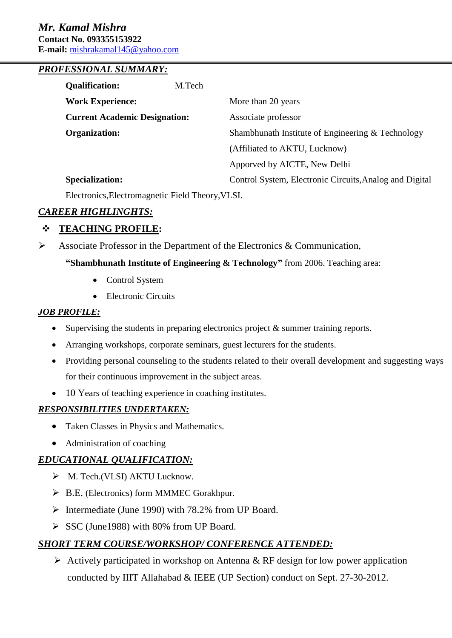#### *PROFESSIONAL SUMMARY:*

| <b>Qualification:</b>                | M.Tech |                                                         |
|--------------------------------------|--------|---------------------------------------------------------|
| <b>Work Experience:</b>              |        | More than 20 years                                      |
| <b>Current Academic Designation:</b> |        | Associate professor                                     |
| <b>Organization:</b>                 |        | Shambhunath Institute of Engineering & Technology       |
|                                      |        | (Affiliated to AKTU, Lucknow)                           |
|                                      |        | Apporved by AICTE, New Delhi                            |
| <b>Specialization:</b>               |        | Control System, Electronic Circuits, Analog and Digital |

Electronics,Electromagnetic Field Theory,VLSI.

#### *CAREER HIGHLINGHTS:*

### **TEACHING PROFILE:**

 $\triangleright$  Associate Professor in the Department of the Electronics & Communication,

#### **"Shambhunath Institute of Engineering & Technology"** from 2006. Teaching area:

- Control System
- Electronic Circuits

#### *JOB PROFILE:*

- Supervising the students in preparing electronics project & summer training reports.
- Arranging workshops, corporate seminars, guest lecturers for the students.
- Providing personal counseling to the students related to their overall development and suggesting ways for their continuous improvement in the subject areas.
- 10 Years of teaching experience in coaching institutes.

#### *RESPONSIBILITIES UNDERTAKEN:*

- Taken Classes in Physics and Mathematics.
- Administration of coaching

## *EDUCATIONAL QUALIFICATION:*

- $\triangleright$  M. Tech.(VLSI) AKTU Lucknow.
- ▶ B.E. (Electronics) form MMMEC Gorakhpur.
- $\triangleright$  Intermediate (June 1990) with 78.2% from UP Board.
- $\triangleright$  SSC (June1988) with 80% from UP Board.

## *SHORT TERM COURSE/WORKSHOP/ CONFERENCE ATTENDED:*

 $\triangleright$  Actively participated in workshop on Antenna & RF design for low power application conducted by IIIT Allahabad & IEEE (UP Section) conduct on Sept. 27-30-2012.